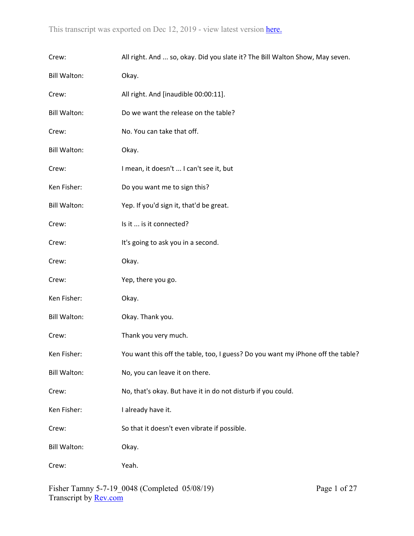| Crew:               | All right. And  so, okay. Did you slate it? The Bill Walton Show, May seven.    |
|---------------------|---------------------------------------------------------------------------------|
| <b>Bill Walton:</b> | Okay.                                                                           |
| Crew:               | All right. And [inaudible 00:00:11].                                            |
| <b>Bill Walton:</b> | Do we want the release on the table?                                            |
| Crew:               | No. You can take that off.                                                      |
| <b>Bill Walton:</b> | Okay.                                                                           |
| Crew:               | I mean, it doesn't  I can't see it, but                                         |
| Ken Fisher:         | Do you want me to sign this?                                                    |
| <b>Bill Walton:</b> | Yep. If you'd sign it, that'd be great.                                         |
| Crew:               | Is it  is it connected?                                                         |
| Crew:               | It's going to ask you in a second.                                              |
| Crew:               | Okay.                                                                           |
| Crew:               | Yep, there you go.                                                              |
| Ken Fisher:         | Okay.                                                                           |
| <b>Bill Walton:</b> | Okay. Thank you.                                                                |
| Crew:               | Thank you very much.                                                            |
| Ken Fisher:         | You want this off the table, too, I guess? Do you want my iPhone off the table? |
| <b>Bill Walton:</b> | No, you can leave it on there.                                                  |
| Crew:               | No, that's okay. But have it in do not disturb if you could.                    |
| Ken Fisher:         | I already have it.                                                              |
| Crew:               | So that it doesn't even vibrate if possible.                                    |
| <b>Bill Walton:</b> | Okay.                                                                           |
| Crew:               | Yeah.                                                                           |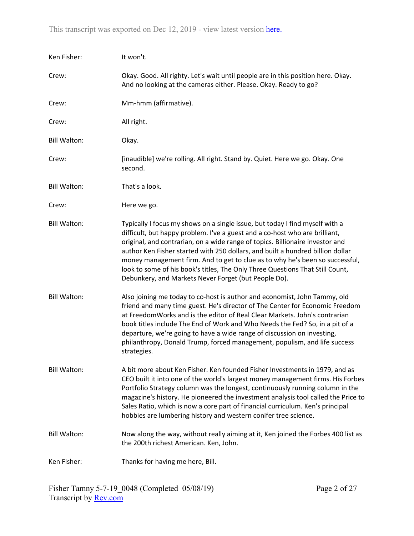| Ken Fisher:         | It won't.                                                                                                                                                                                                                                                                                                                                                                                                                                                                                                                                               |
|---------------------|---------------------------------------------------------------------------------------------------------------------------------------------------------------------------------------------------------------------------------------------------------------------------------------------------------------------------------------------------------------------------------------------------------------------------------------------------------------------------------------------------------------------------------------------------------|
| Crew:               | Okay. Good. All righty. Let's wait until people are in this position here. Okay.<br>And no looking at the cameras either. Please. Okay. Ready to go?                                                                                                                                                                                                                                                                                                                                                                                                    |
| Crew:               | Mm-hmm (affirmative).                                                                                                                                                                                                                                                                                                                                                                                                                                                                                                                                   |
| Crew:               | All right.                                                                                                                                                                                                                                                                                                                                                                                                                                                                                                                                              |
| <b>Bill Walton:</b> | Okay.                                                                                                                                                                                                                                                                                                                                                                                                                                                                                                                                                   |
| Crew:               | [inaudible] we're rolling. All right. Stand by. Quiet. Here we go. Okay. One<br>second.                                                                                                                                                                                                                                                                                                                                                                                                                                                                 |
| <b>Bill Walton:</b> | That's a look.                                                                                                                                                                                                                                                                                                                                                                                                                                                                                                                                          |
| Crew:               | Here we go.                                                                                                                                                                                                                                                                                                                                                                                                                                                                                                                                             |
| <b>Bill Walton:</b> | Typically I focus my shows on a single issue, but today I find myself with a<br>difficult, but happy problem. I've a guest and a co-host who are brilliant,<br>original, and contrarian, on a wide range of topics. Billionaire investor and<br>author Ken Fisher started with 250 dollars, and built a hundred billion dollar<br>money management firm. And to get to clue as to why he's been so successful,<br>look to some of his book's titles, The Only Three Questions That Still Count,<br>Debunkery, and Markets Never Forget (but People Do). |
| <b>Bill Walton:</b> | Also joining me today to co-host is author and economist, John Tammy, old<br>friend and many time guest. He's director of The Center for Economic Freedom<br>at FreedomWorks and is the editor of Real Clear Markets. John's contrarian<br>book titles include The End of Work and Who Needs the Fed? So, in a pit of a<br>departure, we're going to have a wide range of discussion on investing,<br>philanthropy, Donald Trump, forced management, populism, and life success<br>strategies.                                                          |
| <b>Bill Walton:</b> | A bit more about Ken Fisher. Ken founded Fisher Investments in 1979, and as<br>CEO built it into one of the world's largest money management firms. His Forbes<br>Portfolio Strategy column was the longest, continuously running column in the<br>magazine's history. He pioneered the investment analysis tool called the Price to<br>Sales Ratio, which is now a core part of financial curriculum. Ken's principal<br>hobbies are lumbering history and western conifer tree science.                                                               |
| <b>Bill Walton:</b> | Now along the way, without really aiming at it, Ken joined the Forbes 400 list as<br>the 200th richest American. Ken, John.                                                                                                                                                                                                                                                                                                                                                                                                                             |
| Ken Fisher:         | Thanks for having me here, Bill.                                                                                                                                                                                                                                                                                                                                                                                                                                                                                                                        |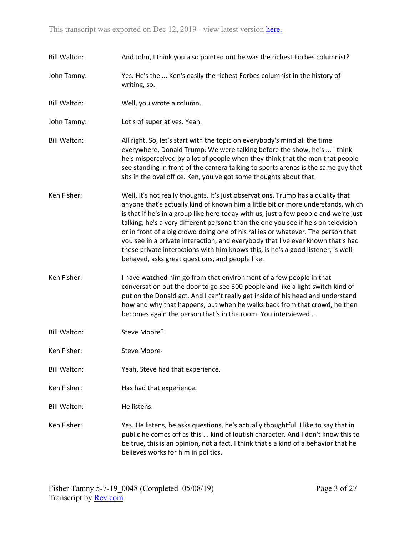| <b>Bill Walton:</b> | And John, I think you also pointed out he was the richest Forbes columnist?                                                                                                                                                                                                                                                                                                                                                                                                                                                                                                                                                                                      |
|---------------------|------------------------------------------------------------------------------------------------------------------------------------------------------------------------------------------------------------------------------------------------------------------------------------------------------------------------------------------------------------------------------------------------------------------------------------------------------------------------------------------------------------------------------------------------------------------------------------------------------------------------------------------------------------------|
| John Tamny:         | Yes. He's the  Ken's easily the richest Forbes columnist in the history of<br>writing, so.                                                                                                                                                                                                                                                                                                                                                                                                                                                                                                                                                                       |
| <b>Bill Walton:</b> | Well, you wrote a column.                                                                                                                                                                                                                                                                                                                                                                                                                                                                                                                                                                                                                                        |
| John Tamny:         | Lot's of superlatives. Yeah.                                                                                                                                                                                                                                                                                                                                                                                                                                                                                                                                                                                                                                     |
| <b>Bill Walton:</b> | All right. So, let's start with the topic on everybody's mind all the time<br>everywhere, Donald Trump. We were talking before the show, he's  I think<br>he's misperceived by a lot of people when they think that the man that people<br>see standing in front of the camera talking to sports arenas is the same guy that<br>sits in the oval office. Ken, you've got some thoughts about that.                                                                                                                                                                                                                                                               |
| Ken Fisher:         | Well, it's not really thoughts. It's just observations. Trump has a quality that<br>anyone that's actually kind of known him a little bit or more understands, which<br>is that if he's in a group like here today with us, just a few people and we're just<br>talking, he's a very different persona than the one you see if he's on television<br>or in front of a big crowd doing one of his rallies or whatever. The person that<br>you see in a private interaction, and everybody that I've ever known that's had<br>these private interactions with him knows this, is he's a good listener, is well-<br>behaved, asks great questions, and people like. |
| Ken Fisher:         | I have watched him go from that environment of a few people in that<br>conversation out the door to go see 300 people and like a light switch kind of<br>put on the Donald act. And I can't really get inside of his head and understand<br>how and why that happens, but when he walks back from that crowd, he then<br>becomes again the person that's in the room. You interviewed                                                                                                                                                                                                                                                                            |
| <b>Bill Walton:</b> | Steve Moore?                                                                                                                                                                                                                                                                                                                                                                                                                                                                                                                                                                                                                                                     |
| Ken Fisher:         | Steve Moore-                                                                                                                                                                                                                                                                                                                                                                                                                                                                                                                                                                                                                                                     |
| <b>Bill Walton:</b> | Yeah, Steve had that experience.                                                                                                                                                                                                                                                                                                                                                                                                                                                                                                                                                                                                                                 |
| Ken Fisher:         | Has had that experience.                                                                                                                                                                                                                                                                                                                                                                                                                                                                                                                                                                                                                                         |
| <b>Bill Walton:</b> | He listens.                                                                                                                                                                                                                                                                                                                                                                                                                                                                                                                                                                                                                                                      |
| Ken Fisher:         | Yes. He listens, he asks questions, he's actually thoughtful. I like to say that in<br>public he comes off as this  kind of loutish character. And I don't know this to<br>be true, this is an opinion, not a fact. I think that's a kind of a behavior that he<br>believes works for him in politics.                                                                                                                                                                                                                                                                                                                                                           |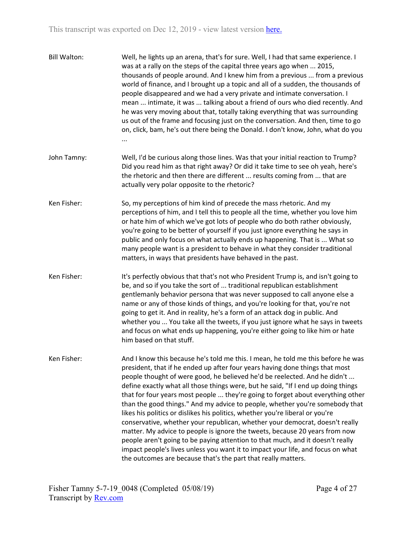| <b>Bill Walton:</b> | Well, he lights up an arena, that's for sure. Well, I had that same experience. I<br>was at a rally on the steps of the capital three years ago when  2015,<br>thousands of people around. And I knew him from a previous  from a previous<br>world of finance, and I brought up a topic and all of a sudden, the thousands of<br>people disappeared and we had a very private and intimate conversation. I<br>mean  intimate, it was  talking about a friend of ours who died recently. And<br>he was very moving about that, totally taking everything that was surrounding<br>us out of the frame and focusing just on the conversation. And then, time to go<br>on, click, bam, he's out there being the Donald. I don't know, John, what do you<br>                                                                                                                                                                                                                                    |
|---------------------|---------------------------------------------------------------------------------------------------------------------------------------------------------------------------------------------------------------------------------------------------------------------------------------------------------------------------------------------------------------------------------------------------------------------------------------------------------------------------------------------------------------------------------------------------------------------------------------------------------------------------------------------------------------------------------------------------------------------------------------------------------------------------------------------------------------------------------------------------------------------------------------------------------------------------------------------------------------------------------------------|
| John Tamny:         | Well, I'd be curious along those lines. Was that your initial reaction to Trump?<br>Did you read him as that right away? Or did it take time to see oh yeah, here's<br>the rhetoric and then there are different  results coming from  that are<br>actually very polar opposite to the rhetoric?                                                                                                                                                                                                                                                                                                                                                                                                                                                                                                                                                                                                                                                                                            |
| Ken Fisher:         | So, my perceptions of him kind of precede the mass rhetoric. And my<br>perceptions of him, and I tell this to people all the time, whether you love him<br>or hate him of which we've got lots of people who do both rather obviously,<br>you're going to be better of yourself if you just ignore everything he says in<br>public and only focus on what actually ends up happening. That is  What so<br>many people want is a president to behave in what they consider traditional<br>matters, in ways that presidents have behaved in the past.                                                                                                                                                                                                                                                                                                                                                                                                                                         |
| Ken Fisher:         | It's perfectly obvious that that's not who President Trump is, and isn't going to<br>be, and so if you take the sort of  traditional republican establishment<br>gentlemanly behavior persona that was never supposed to call anyone else a<br>name or any of those kinds of things, and you're looking for that, you're not<br>going to get it. And in reality, he's a form of an attack dog in public. And<br>whether you  You take all the tweets, if you just ignore what he says in tweets<br>and focus on what ends up happening, you're either going to like him or hate<br>him based on that stuff.                                                                                                                                                                                                                                                                                                                                                                                 |
| Ken Fisher:         | And I know this because he's told me this. I mean, he told me this before he was<br>president, that if he ended up after four years having done things that most<br>people thought of were good, he believed he'd be reelected. And he didn't<br>define exactly what all those things were, but he said, "If I end up doing things<br>that for four years most people  they're going to forget about everything other<br>than the good things." And my advice to people, whether you're somebody that<br>likes his politics or dislikes his politics, whether you're liberal or you're<br>conservative, whether your republican, whether your democrat, doesn't really<br>matter. My advice to people is ignore the tweets, because 20 years from now<br>people aren't going to be paying attention to that much, and it doesn't really<br>impact people's lives unless you want it to impact your life, and focus on what<br>the outcomes are because that's the part that really matters. |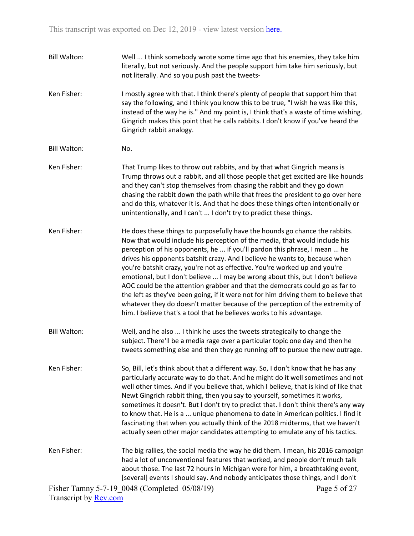Fisher Tamny 5-7-19\_0048 (Completed 05/08/19) Page 5 of 27 Bill Walton: Well ... I think somebody wrote some time ago that his enemies, they take him literally, but not seriously. And the people support him take him seriously, but not literally. And so you push past the tweets-Ken Fisher: I mostly agree with that. I think there's plenty of people that support him that say the following, and I think you know this to be true, "I wish he was like this, instead of the way he is." And my point is, I think that's a waste of time wishing. Gingrich makes this point that he calls rabbits. I don't know if you've heard the Gingrich rabbit analogy. Bill Walton: No. Ken Fisher: That Trump likes to throw out rabbits, and by that what Gingrich means is Trump throws out a rabbit, and all those people that get excited are like hounds and they can't stop themselves from chasing the rabbit and they go down chasing the rabbit down the path while that frees the president to go over here and do this, whatever it is. And that he does these things often intentionally or unintentionally, and I can't ... I don't try to predict these things. Ken Fisher: He does these things to purposefully have the hounds go chance the rabbits. Now that would include his perception of the media, that would include his perception of his opponents, he ... if you'll pardon this phrase, I mean ... he drives his opponents batshit crazy. And I believe he wants to, because when you're batshit crazy, you're not as effective. You're worked up and you're emotional, but I don't believe ... I may be wrong about this, but I don't believe AOC could be the attention grabber and that the democrats could go as far to the left as they've been going, if it were not for him driving them to believe that whatever they do doesn't matter because of the perception of the extremity of him. I believe that's a tool that he believes works to his advantage. Bill Walton: Well, and he also ... I think he uses the tweets strategically to change the subject. There'll be a media rage over a particular topic one day and then he tweets something else and then they go running off to pursue the new outrage. Ken Fisher: So, Bill, let's think about that a different way. So, I don't know that he has any particularly accurate way to do that. And he might do it well sometimes and not well other times. And if you believe that, which I believe, that is kind of like that Newt Gingrich rabbit thing, then you say to yourself, sometimes it works, sometimes it doesn't. But I don't try to predict that. I don't think there's any way to know that. He is a ... unique phenomena to date in American politics. I find it fascinating that when you actually think of the 2018 midterms, that we haven't actually seen other major candidates attempting to emulate any of his tactics. Ken Fisher: The big rallies, the social media the way he did them. I mean, his 2016 campaign had a lot of unconventional features that worked, and people don't much talk about those. The last 72 hours in Michigan were for him, a breathtaking event, [several] events I should say. And nobody anticipates those things, and I don't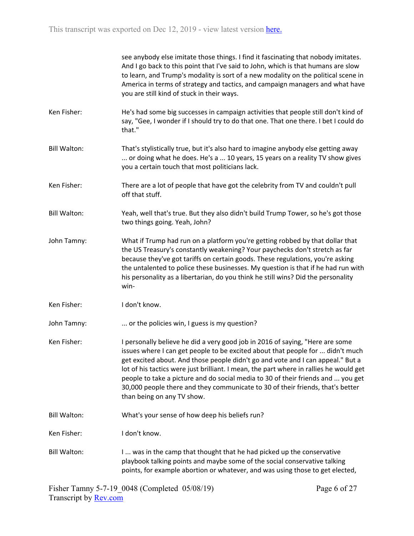see anybody else imitate those things. I find it fascinating that nobody imitates. And I go back to this point that I've said to John, which is that humans are slow to learn, and Trump's modality is sort of a new modality on the political scene in America in terms of strategy and tactics, and campaign managers and what have you are still kind of stuck in their ways.

- Ken Fisher: He's had some big successes in campaign activities that people still don't kind of say, "Gee, I wonder if I should try to do that one. That one there. I bet I could do that."
- Bill Walton: That's stylistically true, but it's also hard to imagine anybody else getting away ... or doing what he does. He's a ... 10 years, 15 years on a reality TV show gives you a certain touch that most politicians lack.
- Ken Fisher: There are a lot of people that have got the celebrity from TV and couldn't pull off that stuff.
- Bill Walton: Yeah, well that's true. But they also didn't build Trump Tower, so he's got those two things going. Yeah, John?
- John Tamny: What if Trump had run on a platform you're getting robbed by that dollar that the US Treasury's constantly weakening? Your paychecks don't stretch as far because they've got tariffs on certain goods. These regulations, you're asking the untalented to police these businesses. My question is that if he had run with his personality as a libertarian, do you think he still wins? Did the personality win-
- Ken Fisher: I don't know.
- John Tamny: ... or the policies win, I guess is my question?
- Ken Fisher: I personally believe he did a very good job in 2016 of saying, "Here are some issues where I can get people to be excited about that people for ... didn't much get excited about. And those people didn't go and vote and I can appeal." But a lot of his tactics were just brilliant. I mean, the part where in rallies he would get people to take a picture and do social media to 30 of their friends and ... you get 30,000 people there and they communicate to 30 of their friends, that's better than being on any TV show.
- Bill Walton: What's your sense of how deep his beliefs run?
- Ken Fisher: I don't know.
- Bill Walton: I ... was in the camp that thought that he had picked up the conservative playbook talking points and maybe some of the social conservative talking points, for example abortion or whatever, and was using those to get elected,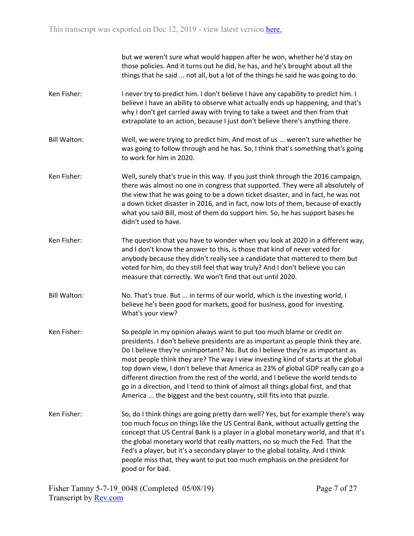but we weren't sure what would happen after he won, whether he'd stay on those policies. And it turns out he did, he has, and he's brought about all the things that he said ... not all, but a lot of the things he said he was going to do.

- Ken Fisher: I never try to predict him. I don't believe I have any capability to predict him. I believe I have an ability to observe what actually ends up happening, and that's why I don't get carried away with trying to take a tweet and then from that extrapolate to an action, because I just don't believe there's anything there.
- Bill Walton: Well, we were trying to predict him. And most of us ... weren't sure whether he was going to follow through and he has. So, I think that's something that's going to work for him in 2020.
- Ken Fisher: Well, surely that's true in this way. If you just think through the 2016 campaign, there was almost no one in congress that supported. They were all absolutely of the view that he was going to be a down ticket disaster, and in fact, he was not a down ticket disaster in 2016, and in fact, now lots of them, because of exactly what you said Bill, most of them do support him. So, he has support bases he didn't used to have.
- Ken Fisher: The question that you have to wonder when you look at 2020 in a different way, and I don't know the answer to this, is those that kind of never voted for anybody because they didn't really see a candidate that mattered to them but voted for him, do they still feel that way truly? And I don't believe you can measure that correctly. We won't find that out until 2020.
- Bill Walton: No. That's true. But ... in terms of our world, which is the investing world, I believe he's been good for markets, good for business, good for investing. What's your view?
- Ken Fisher: So people in my opinion always want to put too much blame or credit on presidents. I don't believe presidents are as important as people think they are. Do I believe they're unimportant? No. But do I believe they're as important as most people think they are? The way I view investing kind of starts at the global top down view, I don't believe that America as 23% of global GDP really can go a different direction from the rest of the world, and I believe the world tends to go in a direction, and I tend to think of almost all things global first, and that America ... the biggest and the best country, still fits into that puzzle.
- Ken Fisher: So, do I think things are going pretty darn well? Yes, but for example there's way too much focus on things like the US Central Bank, without actually getting the concept that US Central Bank is a player in a global monetary world, and that it's the global monetary world that really matters, no so much the Fed. That the Fed's a player, but it's a secondary player to the global totality. And I think people miss that, they want to put too much emphasis on the president for good or for bad.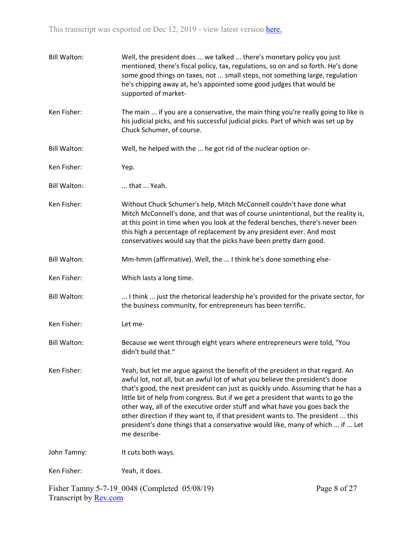| <b>Bill Walton:</b> | Well, the president does  we talked  there's monetary policy you just<br>mentioned, there's fiscal policy, tax, regulations, so on and so forth. He's done<br>some good things on taxes, not  small steps, not something large, regulation<br>he's chipping away at, he's appointed some good judges that would be<br>supported of market-                                                                                                                                                                                                                                                                   |
|---------------------|--------------------------------------------------------------------------------------------------------------------------------------------------------------------------------------------------------------------------------------------------------------------------------------------------------------------------------------------------------------------------------------------------------------------------------------------------------------------------------------------------------------------------------------------------------------------------------------------------------------|
| Ken Fisher:         | The main  if you are a conservative, the main thing you're really going to like is<br>his judicial picks, and his successful judicial picks. Part of which was set up by<br>Chuck Schumer, of course.                                                                                                                                                                                                                                                                                                                                                                                                        |
| <b>Bill Walton:</b> | Well, he helped with the  he got rid of the nuclear option or-                                                                                                                                                                                                                                                                                                                                                                                                                                                                                                                                               |
| Ken Fisher:         | Yep.                                                                                                                                                                                                                                                                                                                                                                                                                                                                                                                                                                                                         |
| <b>Bill Walton:</b> | that  Yeah.                                                                                                                                                                                                                                                                                                                                                                                                                                                                                                                                                                                                  |
| Ken Fisher:         | Without Chuck Schumer's help, Mitch McConnell couldn't have done what<br>Mitch McConnell's done, and that was of course unintentional, but the reality is,<br>at this point in time when you look at the federal benches, there's never been<br>this high a percentage of replacement by any president ever. And most<br>conservatives would say that the picks have been pretty darn good.                                                                                                                                                                                                                  |
| <b>Bill Walton:</b> | Mm-hmm (affirmative). Well, the  I think he's done something else-                                                                                                                                                                                                                                                                                                                                                                                                                                                                                                                                           |
| Ken Fisher:         | Which lasts a long time.                                                                                                                                                                                                                                                                                                                                                                                                                                                                                                                                                                                     |
| <b>Bill Walton:</b> | I think  just the rhetorical leadership he's provided for the private sector, for<br>the business community, for entrepreneurs has been terrific.                                                                                                                                                                                                                                                                                                                                                                                                                                                            |
| Ken Fisher:         | Let me-                                                                                                                                                                                                                                                                                                                                                                                                                                                                                                                                                                                                      |
| <b>Bill Walton:</b> | Because we went through eight years where entrepreneurs were told, "You<br>didn't build that."                                                                                                                                                                                                                                                                                                                                                                                                                                                                                                               |
| Ken Fisher:         | Yeah, but let me argue against the benefit of the president in that regard. An<br>awful lot, not all, but an awful lot of what you believe the president's done<br>that's good, the next president can just as quickly undo. Assuming that he has a<br>little bit of help from congress. But if we get a president that wants to go the<br>other way, all of the executive order stuff and what have you goes back the<br>other direction if they want to, if that president wants to. The president  this<br>president's done things that a conservative would like, many of which  if  Let<br>me describe- |
| John Tamny:         | It cuts both ways.                                                                                                                                                                                                                                                                                                                                                                                                                                                                                                                                                                                           |
| Ken Fisher:         | Yeah, it does.                                                                                                                                                                                                                                                                                                                                                                                                                                                                                                                                                                                               |

Fisher Tamny 5-7-19\_0048 (Completed 05/08/19) Transcript by <u>Rev.com</u>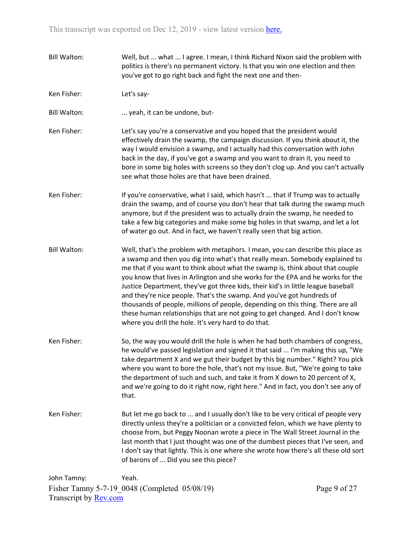- Bill Walton: Well, but ... what ... I agree. I mean, I think Richard Nixon said the problem with politics is there's no permanent victory. Is that you win one election and then you've got to go right back and fight the next one and then-
- Ken Fisher: Let's say-

Bill Walton: ... yeah, it can be undone, but-

- Ken Fisher: Let's say you're a conservative and you hoped that the president would effectively drain the swamp, the campaign discussion. If you think about it, the way I would envision a swamp, and I actually had this conversation with John back in the day, if you've got a swamp and you want to drain it, you need to bore in some big holes with screens so they don't clog up. And you can't actually see what those holes are that have been drained.
- Ken Fisher: If you're conservative, what I said, which hasn't ... that if Trump was to actually drain the swamp, and of course you don't hear that talk during the swamp much anymore, but if the president was to actually drain the swamp, he needed to take a few big categories and make some big holes in that swamp, and let a lot of water go out. And in fact, we haven't really seen that big action.
- Bill Walton: Well, that's the problem with metaphors. I mean, you can describe this place as a swamp and then you dig into what's that really mean. Somebody explained to me that if you want to think about what the swamp is, think about that couple you know that lives in Arlington and she works for the EPA and he works for the Justice Department, they've got three kids, their kid's in little league baseball and they're nice people. That's the swamp. And you've got hundreds of thousands of people, millions of people, depending on this thing. There are all these human relationships that are not going to get changed. And I don't know where you drill the hole. It's very hard to do that.
- Ken Fisher: So, the way you would drill the hole is when he had both chambers of congress, he would've passed legislation and signed it that said ... I'm making this up, "We take department X and we gut their budget by this big number." Right? You pick where you want to bore the hole, that's not my issue. But, "We're going to take the department of such and such, and take it from X down to 20 percent of X, and we're going to do it right now, right here." And in fact, you don't see any of that.
- Ken Fisher: But let me go back to ... and I usually don't like to be very critical of people very directly unless they're a politician or a convicted felon, which we have plenty to choose from, but Peggy Noonan wrote a piece in The Wall Street Journal in the last month that I just thought was one of the dumbest pieces that I've seen, and I don't say that lightly. This is one where she wrote how there's all these old sort of barons of ... Did you see this piece?

Fisher Tamny 5-7-19\_0048 (Completed 05/08/19) Transcript by [Rev.com](https://www.rev.com/) John Tamny: Yeah.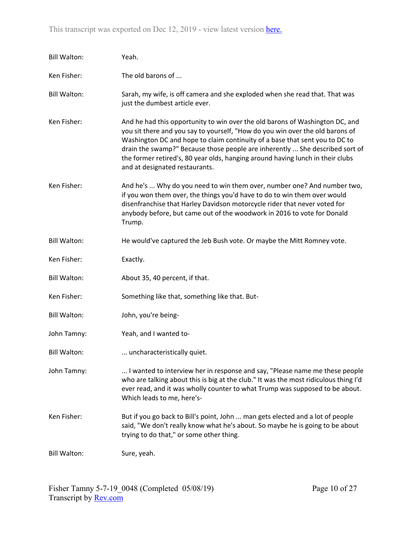| <b>Bill Walton:</b> | Yeah.                                                                                                                                                                                                                                                                                                                                                                                                                                            |
|---------------------|--------------------------------------------------------------------------------------------------------------------------------------------------------------------------------------------------------------------------------------------------------------------------------------------------------------------------------------------------------------------------------------------------------------------------------------------------|
| Ken Fisher:         | The old barons of                                                                                                                                                                                                                                                                                                                                                                                                                                |
| <b>Bill Walton:</b> | Sarah, my wife, is off camera and she exploded when she read that. That was<br>just the dumbest article ever.                                                                                                                                                                                                                                                                                                                                    |
| Ken Fisher:         | And he had this opportunity to win over the old barons of Washington DC, and<br>you sit there and you say to yourself, "How do you win over the old barons of<br>Washington DC and hope to claim continuity of a base that sent you to DC to<br>drain the swamp?" Because those people are inherently  She described sort of<br>the former retired's, 80 year olds, hanging around having lunch in their clubs<br>and at designated restaurants. |
| Ken Fisher:         | And he's  Why do you need to win them over, number one? And number two,<br>if you won them over, the things you'd have to do to win them over would<br>disenfranchise that Harley Davidson motorcycle rider that never voted for<br>anybody before, but came out of the woodwork in 2016 to vote for Donald<br>Trump.                                                                                                                            |
| <b>Bill Walton:</b> | He would've captured the Jeb Bush vote. Or maybe the Mitt Romney vote.                                                                                                                                                                                                                                                                                                                                                                           |
| Ken Fisher:         | Exactly.                                                                                                                                                                                                                                                                                                                                                                                                                                         |
| <b>Bill Walton:</b> | About 35, 40 percent, if that.                                                                                                                                                                                                                                                                                                                                                                                                                   |
| Ken Fisher:         | Something like that, something like that. But-                                                                                                                                                                                                                                                                                                                                                                                                   |
| <b>Bill Walton:</b> | John, you're being-                                                                                                                                                                                                                                                                                                                                                                                                                              |
| John Tamny:         | Yeah, and I wanted to-                                                                                                                                                                                                                                                                                                                                                                                                                           |
| <b>Bill Walton:</b> | . uncharacteristically quiet.                                                                                                                                                                                                                                                                                                                                                                                                                    |
| John Tamny:         | I wanted to interview her in response and say, "Please name me these people<br>who are talking about this is big at the club." It was the most ridiculous thing I'd<br>ever read, and it was wholly counter to what Trump was supposed to be about.<br>Which leads to me, here's-                                                                                                                                                                |
| Ken Fisher:         | But if you go back to Bill's point, John  man gets elected and a lot of people<br>said, "We don't really know what he's about. So maybe he is going to be about<br>trying to do that," or some other thing.                                                                                                                                                                                                                                      |
| <b>Bill Walton:</b> | Sure, yeah.                                                                                                                                                                                                                                                                                                                                                                                                                                      |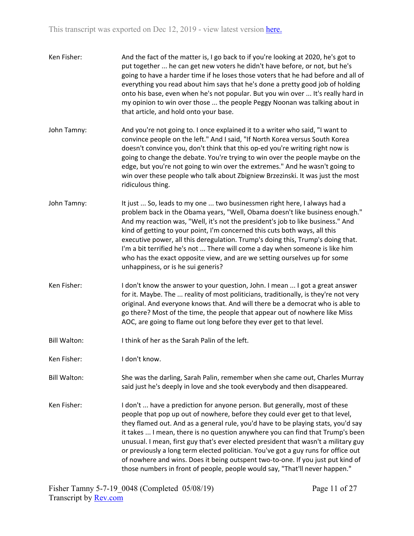| Ken Fisher:         | And the fact of the matter is, I go back to if you're looking at 2020, he's got to<br>put together  he can get new voters he didn't have before, or not, but he's<br>going to have a harder time if he loses those voters that he had before and all of<br>everything you read about him says that he's done a pretty good job of holding<br>onto his base, even when he's not popular. But you win over  It's really hard in<br>my opinion to win over those  the people Peggy Noonan was talking about in<br>that article, and hold onto your base.                                                                                                                            |
|---------------------|----------------------------------------------------------------------------------------------------------------------------------------------------------------------------------------------------------------------------------------------------------------------------------------------------------------------------------------------------------------------------------------------------------------------------------------------------------------------------------------------------------------------------------------------------------------------------------------------------------------------------------------------------------------------------------|
| John Tamny:         | And you're not going to. I once explained it to a writer who said, "I want to<br>convince people on the left." And I said, "If North Korea versus South Korea<br>doesn't convince you, don't think that this op-ed you're writing right now is<br>going to change the debate. You're trying to win over the people maybe on the<br>edge, but you're not going to win over the extremes." And he wasn't going to<br>win over these people who talk about Zbigniew Brzezinski. It was just the most<br>ridiculous thing.                                                                                                                                                           |
| John Tamny:         | It just  So, leads to my one  two businessmen right here, I always had a<br>problem back in the Obama years, "Well, Obama doesn't like business enough."<br>And my reaction was, "Well, it's not the president's job to like business." And<br>kind of getting to your point, I'm concerned this cuts both ways, all this<br>executive power, all this deregulation. Trump's doing this, Trump's doing that.<br>I'm a bit terrified he's not  There will come a day when someone is like him<br>who has the exact opposite view, and are we setting ourselves up for some<br>unhappiness, or is he sui generis?                                                                  |
| Ken Fisher:         | I don't know the answer to your question, John. I mean  I got a great answer<br>for it. Maybe. The  reality of most politicians, traditionally, is they're not very<br>original. And everyone knows that. And will there be a democrat who is able to<br>go there? Most of the time, the people that appear out of nowhere like Miss<br>AOC, are going to flame out long before they ever get to that level.                                                                                                                                                                                                                                                                     |
| <b>Bill Walton:</b> | I think of her as the Sarah Palin of the left.                                                                                                                                                                                                                                                                                                                                                                                                                                                                                                                                                                                                                                   |
| Ken Fisher:         | I don't know.                                                                                                                                                                                                                                                                                                                                                                                                                                                                                                                                                                                                                                                                    |
| <b>Bill Walton:</b> | She was the darling, Sarah Palin, remember when she came out, Charles Murray<br>said just he's deeply in love and she took everybody and then disappeared.                                                                                                                                                                                                                                                                                                                                                                                                                                                                                                                       |
| Ken Fisher:         | I don't  have a prediction for anyone person. But generally, most of these<br>people that pop up out of nowhere, before they could ever get to that level,<br>they flamed out. And as a general rule, you'd have to be playing stats, you'd say<br>it takes  I mean, there is no question anywhere you can find that Trump's been<br>unusual. I mean, first guy that's ever elected president that wasn't a military guy<br>or previously a long term elected politician. You've got a guy runs for office out<br>of nowhere and wins. Does it being outspent two-to-one. If you just put kind of<br>those numbers in front of people, people would say, "That'll never happen." |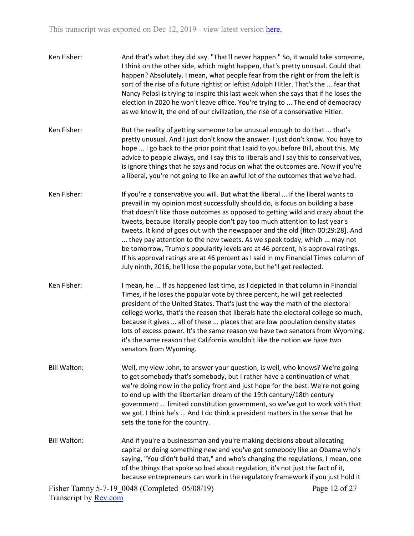| Ken Fisher:         | And that's what they did say. "That'll never happen." So, it would take someone,<br>I think on the other side, which might happen, that's pretty unusual. Could that<br>happen? Absolutely. I mean, what people fear from the right or from the left is<br>sort of the rise of a future rightist or leftist Adolph Hitler. That's the  fear that<br>Nancy Pelosi is trying to inspire this last week when she says that if he loses the<br>election in 2020 he won't leave office. You're trying to  The end of democracy<br>as we know it, the end of our civilization, the rise of a conservative Hitler.                                                                                                                                               |  |
|---------------------|-----------------------------------------------------------------------------------------------------------------------------------------------------------------------------------------------------------------------------------------------------------------------------------------------------------------------------------------------------------------------------------------------------------------------------------------------------------------------------------------------------------------------------------------------------------------------------------------------------------------------------------------------------------------------------------------------------------------------------------------------------------|--|
| Ken Fisher:         | But the reality of getting someone to be unusual enough to do that  that's<br>pretty unusual. And I just don't know the answer. I just don't know. You have to<br>hope  I go back to the prior point that I said to you before Bill, about this. My<br>advice to people always, and I say this to liberals and I say this to conservatives,<br>is ignore things that he says and focus on what the outcomes are. Now if you're<br>a liberal, you're not going to like an awful lot of the outcomes that we've had.                                                                                                                                                                                                                                        |  |
| Ken Fisher:         | If you're a conservative you will. But what the liberal  if the liberal wants to<br>prevail in my opinion most successfully should do, is focus on building a base<br>that doesn't like those outcomes as opposed to getting wild and crazy about the<br>tweets, because literally people don't pay too much attention to last year's<br>tweets. It kind of goes out with the newspaper and the old [fitch 00:29:28]. And<br>they pay attention to the new tweets. As we speak today, which  may not<br>be tomorrow, Trump's popularity levels are at 46 percent, his approval ratings.<br>If his approval ratings are at 46 percent as I said in my Financial Times column of<br>July ninth, 2016, he'll lose the popular vote, but he'll get reelected. |  |
| Ken Fisher:         | I mean, he  If as happened last time, as I depicted in that column in Financial<br>Times, if he loses the popular vote by three percent, he will get reelected<br>president of the United States. That's just the way the math of the electoral<br>college works, that's the reason that liberals hate the electoral college so much,<br>because it gives  all of these  places that are low population density states<br>lots of excess power. It's the same reason we have two senators from Wyoming,<br>it's the same reason that California wouldn't like the notion we have two<br>senators from Wyoming.                                                                                                                                            |  |
| <b>Bill Walton:</b> | Well, my view John, to answer your question, is well, who knows? We're going<br>to get somebody that's somebody, but I rather have a continuation of what<br>we're doing now in the policy front and just hope for the best. We're not going<br>to end up with the libertarian dream of the 19th century/18th century<br>government  limited constitution government, so we've got to work with that<br>we got. I think he's  And I do think a president matters in the sense that he<br>sets the tone for the country.                                                                                                                                                                                                                                   |  |
| <b>Bill Walton:</b> | And if you're a businessman and you're making decisions about allocating<br>capital or doing something new and you've got somebody like an Obama who's<br>saying, "You didn't build that," and who's changing the regulations, I mean, one<br>of the things that spoke so bad about regulation, it's not just the fact of it,<br>because entrepreneurs can work in the regulatory framework if you just hold it<br>$C_{2}$ 1.1.1.05/00/10)                                                                                                                                                                                                                                                                                                                |  |

Page 12 of 27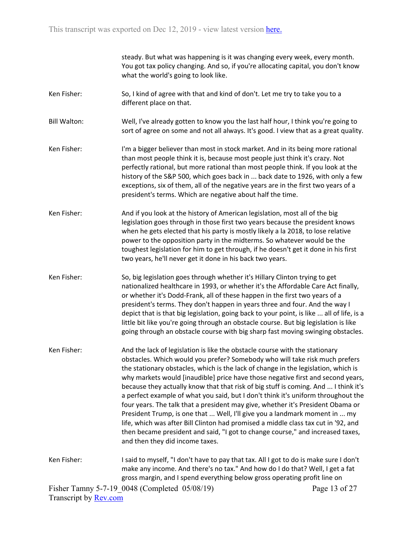steady. But what was happening is it was changing every week, every month. You got tax policy changing. And so, if you're allocating capital, you don't know what the world's going to look like.

- Ken Fisher: So, I kind of agree with that and kind of don't. Let me try to take you to a different place on that.
- Bill Walton: Well, I've already gotten to know you the last half hour, I think you're going to sort of agree on some and not all always. It's good. I view that as a great quality.
- Ken Fisher: I'm a bigger believer than most in stock market. And in its being more rational than most people think it is, because most people just think it's crazy. Not perfectly rational, but more rational than most people think. If you look at the history of the S&P 500, which goes back in ... back date to 1926, with only a few exceptions, six of them, all of the negative years are in the first two years of a president's terms. Which are negative about half the time.
- Ken Fisher: And if you look at the history of American legislation, most all of the big legislation goes through in those first two years because the president knows when he gets elected that his party is mostly likely a la 2018, to lose relative power to the opposition party in the midterms. So whatever would be the toughest legislation for him to get through, if he doesn't get it done in his first two years, he'll never get it done in his back two years.
- Ken Fisher: So, big legislation goes through whether it's Hillary Clinton trying to get nationalized healthcare in 1993, or whether it's the Affordable Care Act finally, or whether it's Dodd-Frank, all of these happen in the first two years of a president's terms. They don't happen in years three and four. And the way I depict that is that big legislation, going back to your point, is like ... all of life, is a little bit like you're going through an obstacle course. But big legislation is like going through an obstacle course with big sharp fast moving swinging obstacles.
- Ken Fisher: And the lack of legislation is like the obstacle course with the stationary obstacles. Which would you prefer? Somebody who will take risk much prefers the stationary obstacles, which is the lack of change in the legislation, which is why markets would [inaudible] price have those negative first and second years, because they actually know that that risk of big stuff is coming. And ... I think it's a perfect example of what you said, but I don't think it's uniform throughout the four years. The talk that a president may give, whether it's President Obama or President Trump, is one that ... Well, I'll give you a landmark moment in ... my life, which was after Bill Clinton had promised a middle class tax cut in '92, and then became president and said, "I got to change course," and increased taxes, and then they did income taxes.
- Ken Fisher: I said to myself, "I don't have to pay that tax. All I got to do is make sure I don't make any income. And there's no tax." And how do I do that? Well, I get a fat gross margin, and I spend everything below gross operating profit line on

Fisher Tamny 5-7-19\_0048 (Completed 05/08/19) Transcript by [Rev.com](https://www.rev.com/)

Page 13 of 27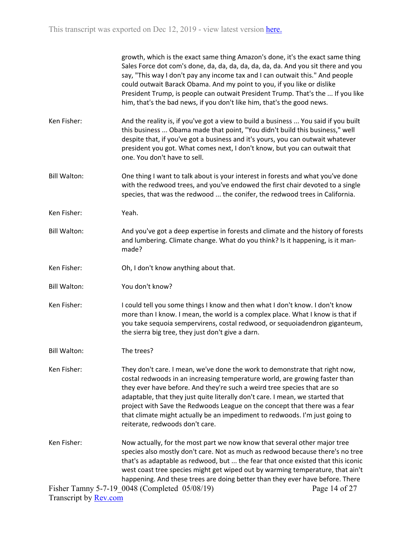|                     | growth, which is the exact same thing Amazon's done, it's the exact same thing<br>Sales Force dot com's done, da, da, da, da, da, da, da. And you sit there and you<br>say, "This way I don't pay any income tax and I can outwait this." And people<br>could outwait Barack Obama. And my point to you, if you like or dislike<br>President Trump, is people can outwait President Trump. That's the  If you like<br>him, that's the bad news, if you don't like him, that's the good news.                            |               |
|---------------------|-------------------------------------------------------------------------------------------------------------------------------------------------------------------------------------------------------------------------------------------------------------------------------------------------------------------------------------------------------------------------------------------------------------------------------------------------------------------------------------------------------------------------|---------------|
| Ken Fisher:         | And the reality is, if you've got a view to build a business  You said if you built<br>this business  Obama made that point, "You didn't build this business," well<br>despite that, if you've got a business and it's yours, you can outwait whatever<br>president you got. What comes next, I don't know, but you can outwait that<br>one. You don't have to sell.                                                                                                                                                    |               |
| <b>Bill Walton:</b> | One thing I want to talk about is your interest in forests and what you've done<br>with the redwood trees, and you've endowed the first chair devoted to a single<br>species, that was the redwood  the conifer, the redwood trees in California.                                                                                                                                                                                                                                                                       |               |
| Ken Fisher:         | Yeah.                                                                                                                                                                                                                                                                                                                                                                                                                                                                                                                   |               |
| <b>Bill Walton:</b> | And you've got a deep expertise in forests and climate and the history of forests<br>and lumbering. Climate change. What do you think? Is it happening, is it man-<br>made?                                                                                                                                                                                                                                                                                                                                             |               |
| Ken Fisher:         | Oh, I don't know anything about that.                                                                                                                                                                                                                                                                                                                                                                                                                                                                                   |               |
| <b>Bill Walton:</b> | You don't know?                                                                                                                                                                                                                                                                                                                                                                                                                                                                                                         |               |
| Ken Fisher:         | I could tell you some things I know and then what I don't know. I don't know<br>more than I know. I mean, the world is a complex place. What I know is that if<br>you take sequoia sempervirens, costal redwood, or sequoiadendron giganteum,<br>the sierra big tree, they just don't give a darn.                                                                                                                                                                                                                      |               |
| <b>Bill Walton:</b> | The trees?                                                                                                                                                                                                                                                                                                                                                                                                                                                                                                              |               |
| Ken Fisher:         | They don't care. I mean, we've done the work to demonstrate that right now,<br>costal redwoods in an increasing temperature world, are growing faster than<br>they ever have before. And they're such a weird tree species that are so<br>adaptable, that they just quite literally don't care. I mean, we started that<br>project with Save the Redwoods League on the concept that there was a fear<br>that climate might actually be an impediment to redwoods. I'm just going to<br>reiterate, redwoods don't care. |               |
| Ken Fisher:         | Now actually, for the most part we now know that several other major tree<br>species also mostly don't care. Not as much as redwood because there's no tree<br>that's as adaptable as redwood, but  the fear that once existed that this iconic<br>west coast tree species might get wiped out by warming temperature, that ain't<br>happening. And these trees are doing better than they ever have before. There                                                                                                      |               |
|                     | Fisher Tamny 5-7-19 0048 (Completed 05/08/19)                                                                                                                                                                                                                                                                                                                                                                                                                                                                           | Page 14 of 27 |

Transcript by **Rev.com**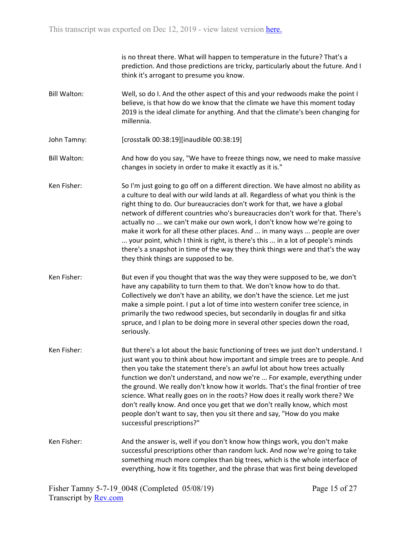is no threat there. What will happen to temperature in the future? That's a prediction. And those predictions are tricky, particularly about the future. And I think it's arrogant to presume you know.

- Bill Walton: Well, so do I. And the other aspect of this and your redwoods make the point I believe, is that how do we know that the climate we have this moment today 2019 is the ideal climate for anything. And that the climate's been changing for millennia.
- John Tamny: [crosstalk 00:38:19][inaudible 00:38:19]
- Bill Walton: And how do you say, "We have to freeze things now, we need to make massive changes in society in order to make it exactly as it is."
- Ken Fisher: So I'm just going to go off on a different direction. We have almost no ability as a culture to deal with our wild lands at all. Regardless of what you think is the right thing to do. Our bureaucracies don't work for that, we have a global network of different countries who's bureaucracies don't work for that. There's actually no ... we can't make our own work, I don't know how we're going to make it work for all these other places. And ... in many ways ... people are over ... your point, which I think is right, is there's this ... in a lot of people's minds there's a snapshot in time of the way they think things were and that's the way they think things are supposed to be.
- Ken Fisher: But even if you thought that was the way they were supposed to be, we don't have any capability to turn them to that. We don't know how to do that. Collectively we don't have an ability, we don't have the science. Let me just make a simple point. I put a lot of time into western conifer tree science, in primarily the two redwood species, but secondarily in douglas fir and sitka spruce, and I plan to be doing more in several other species down the road, seriously.
- Ken Fisher: But there's a lot about the basic functioning of trees we just don't understand. I just want you to think about how important and simple trees are to people. And then you take the statement there's an awful lot about how trees actually function we don't understand, and now we're ... For example, everything under the ground. We really don't know how it worlds. That's the final frontier of tree science. What really goes on in the roots? How does it really work there? We don't really know. And once you get that we don't really know, which most people don't want to say, then you sit there and say, "How do you make successful prescriptions?"
- Ken Fisher: And the answer is, well if you don't know how things work, you don't make successful prescriptions other than random luck. And now we're going to take something much more complex than big trees, which is the whole interface of everything, how it fits together, and the phrase that was first being developed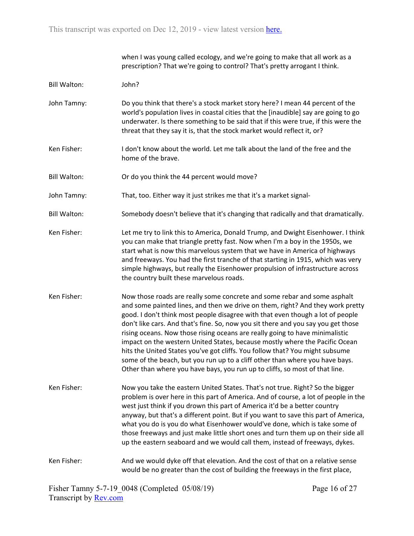when I was young called ecology, and we're going to make that all work as a prescription? That we're going to control? That's pretty arrogant I think. Bill Walton: John? John Tamny: Do you think that there's a stock market story here? I mean 44 percent of the world's population lives in coastal cities that the [inaudible] say are going to go underwater. Is there something to be said that if this were true, if this were the threat that they say it is, that the stock market would reflect it, or? Ken Fisher: I don't know about the world. Let me talk about the land of the free and the home of the brave. Bill Walton: Or do you think the 44 percent would move? John Tamny: That, too. Either way it just strikes me that it's a market signal-Bill Walton: Somebody doesn't believe that it's changing that radically and that dramatically. Ken Fisher: Let me try to link this to America, Donald Trump, and Dwight Eisenhower. I think you can make that triangle pretty fast. Now when I'm a boy in the 1950s, we start what is now this marvelous system that we have in America of highways and freeways. You had the first tranche of that starting in 1915, which was very simple highways, but really the Eisenhower propulsion of infrastructure across the country built these marvelous roads. Ken Fisher: Now those roads are really some concrete and some rebar and some asphalt and some painted lines, and then we drive on them, right? And they work pretty good. I don't think most people disagree with that even though a lot of people don't like cars. And that's fine. So, now you sit there and you say you get those rising oceans. Now those rising oceans are really going to have minimalistic impact on the western United States, because mostly where the Pacific Ocean hits the United States you've got cliffs. You follow that? You might subsume some of the beach, but you run up to a cliff other than where you have bays. Other than where you have bays, you run up to cliffs, so most of that line. Ken Fisher: Now you take the eastern United States. That's not true. Right? So the bigger problem is over here in this part of America. And of course, a lot of people in the west just think if you drown this part of America it'd be a better country anyway, but that's a different point. But if you want to save this part of America, what you do is you do what Eisenhower would've done, which is take some of those freeways and just make little short ones and turn them up on their side all up the eastern seaboard and we would call them, instead of freeways, dykes. Ken Fisher: And we would dyke off that elevation. And the cost of that on a relative sense

would be no greater than the cost of building the freeways in the first place,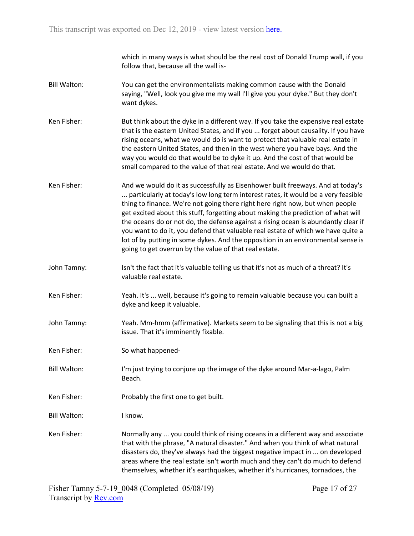which in many ways is what should be the real cost of Donald Trump wall, if you follow that, because all the wall is-

- Bill Walton: You can get the environmentalists making common cause with the Donald saying, "Well, look you give me my wall I'll give you your dyke." But they don't want dykes.
- Ken Fisher: But think about the dyke in a different way. If you take the expensive real estate that is the eastern United States, and if you ... forget about causality. If you have rising oceans, what we would do is want to protect that valuable real estate in the eastern United States, and then in the west where you have bays. And the way you would do that would be to dyke it up. And the cost of that would be small compared to the value of that real estate. And we would do that.
- Ken Fisher: And we would do it as successfully as Eisenhower built freeways. And at today's ... particularly at today's low long term interest rates, it would be a very feasible thing to finance. We're not going there right here right now, but when people get excited about this stuff, forgetting about making the prediction of what will the oceans do or not do, the defense against a rising ocean is abundantly clear if you want to do it, you defend that valuable real estate of which we have quite a lot of by putting in some dykes. And the opposition in an environmental sense is going to get overrun by the value of that real estate.
- John Tamny: Isn't the fact that it's valuable telling us that it's not as much of a threat? It's valuable real estate.
- Ken Fisher: Yeah. It's ... well, because it's going to remain valuable because you can built a dyke and keep it valuable.
- John Tamny: Yeah. Mm-hmm (affirmative). Markets seem to be signaling that this is not a big issue. That it's imminently fixable.
- Ken Fisher: So what happened-
- Bill Walton: I'm just trying to conjure up the image of the dyke around Mar-a-lago, Palm Beach.
- Ken Fisher: Probably the first one to get built.
- Bill Walton: I know.
- Ken Fisher: Normally any ... you could think of rising oceans in a different way and associate that with the phrase, "A natural disaster." And when you think of what natural disasters do, they've always had the biggest negative impact in ... on developed areas where the real estate isn't worth much and they can't do much to defend themselves, whether it's earthquakes, whether it's hurricanes, tornadoes, the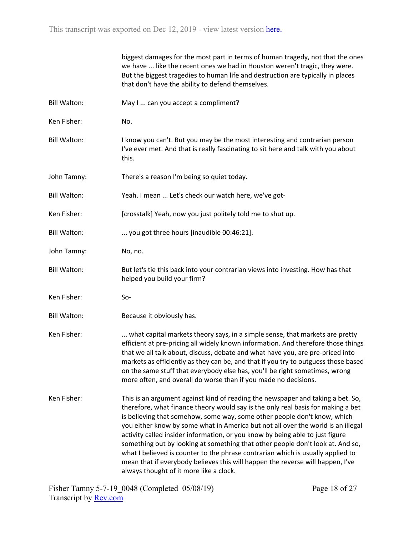|                     | biggest damages for the most part in terms of human tragedy, not that the ones<br>we have  like the recent ones we had in Houston weren't tragic, they were.<br>But the biggest tragedies to human life and destruction are typically in places<br>that don't have the ability to defend themselves.                                                                                                                                                                                                                                                                                                                                                                                                                   |
|---------------------|------------------------------------------------------------------------------------------------------------------------------------------------------------------------------------------------------------------------------------------------------------------------------------------------------------------------------------------------------------------------------------------------------------------------------------------------------------------------------------------------------------------------------------------------------------------------------------------------------------------------------------------------------------------------------------------------------------------------|
| <b>Bill Walton:</b> | May I  can you accept a compliment?                                                                                                                                                                                                                                                                                                                                                                                                                                                                                                                                                                                                                                                                                    |
| Ken Fisher:         | No.                                                                                                                                                                                                                                                                                                                                                                                                                                                                                                                                                                                                                                                                                                                    |
| <b>Bill Walton:</b> | I know you can't. But you may be the most interesting and contrarian person<br>I've ever met. And that is really fascinating to sit here and talk with you about<br>this.                                                                                                                                                                                                                                                                                                                                                                                                                                                                                                                                              |
| John Tamny:         | There's a reason I'm being so quiet today.                                                                                                                                                                                                                                                                                                                                                                                                                                                                                                                                                                                                                                                                             |
| <b>Bill Walton:</b> | Yeah. I mean  Let's check our watch here, we've got-                                                                                                                                                                                                                                                                                                                                                                                                                                                                                                                                                                                                                                                                   |
| Ken Fisher:         | [crosstalk] Yeah, now you just politely told me to shut up.                                                                                                                                                                                                                                                                                                                                                                                                                                                                                                                                                                                                                                                            |
| <b>Bill Walton:</b> | you got three hours [inaudible 00:46:21].                                                                                                                                                                                                                                                                                                                                                                                                                                                                                                                                                                                                                                                                              |
| John Tamny:         | No, no.                                                                                                                                                                                                                                                                                                                                                                                                                                                                                                                                                                                                                                                                                                                |
| <b>Bill Walton:</b> | But let's tie this back into your contrarian views into investing. How has that<br>helped you build your firm?                                                                                                                                                                                                                                                                                                                                                                                                                                                                                                                                                                                                         |
| Ken Fisher:         | $So-$                                                                                                                                                                                                                                                                                                                                                                                                                                                                                                                                                                                                                                                                                                                  |
| <b>Bill Walton:</b> | Because it obviously has.                                                                                                                                                                                                                                                                                                                                                                                                                                                                                                                                                                                                                                                                                              |
| Ken Fisher:         | what capital markets theory says, in a simple sense, that markets are pretty<br>efficient at pre-pricing all widely known information. And therefore those things<br>that we all talk about, discuss, debate and what have you, are pre-priced into<br>markets as efficiently as they can be, and that if you try to outguess those based<br>on the same stuff that everybody else has, you'll be right sometimes, wrong<br>more often, and overall do worse than if you made no decisions.                                                                                                                                                                                                                            |
| Ken Fisher:         | This is an argument against kind of reading the newspaper and taking a bet. So,<br>therefore, what finance theory would say is the only real basis for making a bet<br>is believing that somehow, some way, some other people don't know, which<br>you either know by some what in America but not all over the world is an illegal<br>activity called insider information, or you know by being able to just figure<br>something out by looking at something that other people don't look at. And so,<br>what I believed is counter to the phrase contrarian which is usually applied to<br>mean that if everybody believes this will happen the reverse will happen, I've<br>always thought of it more like a clock. |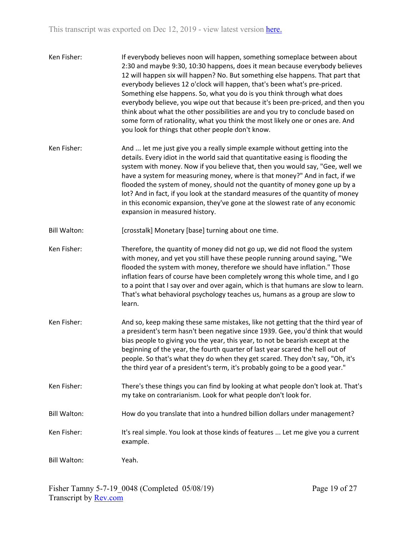| Ken Fisher:         | If everybody believes noon will happen, something someplace between about<br>2:30 and maybe 9:30, 10:30 happens, does it mean because everybody believes<br>12 will happen six will happen? No. But something else happens. That part that<br>everybody believes 12 o'clock will happen, that's been what's pre-priced.<br>Something else happens. So, what you do is you think through what does<br>everybody believe, you wipe out that because it's been pre-priced, and then you<br>think about what the other possibilities are and you try to conclude based on<br>some form of rationality, what you think the most likely one or ones are. And<br>you look for things that other people don't know. |
|---------------------|-------------------------------------------------------------------------------------------------------------------------------------------------------------------------------------------------------------------------------------------------------------------------------------------------------------------------------------------------------------------------------------------------------------------------------------------------------------------------------------------------------------------------------------------------------------------------------------------------------------------------------------------------------------------------------------------------------------|
| Ken Fisher:         | And  let me just give you a really simple example without getting into the<br>details. Every idiot in the world said that quantitative easing is flooding the<br>system with money. Now if you believe that, then you would say, "Gee, well we<br>have a system for measuring money, where is that money?" And in fact, if we<br>flooded the system of money, should not the quantity of money gone up by a<br>lot? And in fact, if you look at the standard measures of the quantity of money<br>in this economic expansion, they've gone at the slowest rate of any economic<br>expansion in measured history.                                                                                            |
| <b>Bill Walton:</b> | [crosstalk] Monetary [base] turning about one time.                                                                                                                                                                                                                                                                                                                                                                                                                                                                                                                                                                                                                                                         |
| Ken Fisher:         | Therefore, the quantity of money did not go up, we did not flood the system<br>with money, and yet you still have these people running around saying, "We<br>flooded the system with money, therefore we should have inflation." Those<br>inflation fears of course have been completely wrong this whole time, and I go<br>to a point that I say over and over again, which is that humans are slow to learn.<br>That's what behavioral psychology teaches us, humans as a group are slow to<br>learn.                                                                                                                                                                                                     |
| Ken Fisher:         | And so, keep making these same mistakes, like not getting that the third year of<br>a president's term hasn't been negative since 1939. Gee, you'd think that would<br>bias people to giving you the year, this year, to not be bearish except at the<br>beginning of the year, the fourth quarter of last year scared the hell out of<br>people. So that's what they do when they get scared. They don't say, "Oh, it's<br>the third year of a president's term, it's probably going to be a good year."                                                                                                                                                                                                   |
| Ken Fisher:         | There's these things you can find by looking at what people don't look at. That's<br>my take on contrarianism. Look for what people don't look for.                                                                                                                                                                                                                                                                                                                                                                                                                                                                                                                                                         |
| <b>Bill Walton:</b> | How do you translate that into a hundred billion dollars under management?                                                                                                                                                                                                                                                                                                                                                                                                                                                                                                                                                                                                                                  |
| Ken Fisher:         | It's real simple. You look at those kinds of features  Let me give you a current<br>example.                                                                                                                                                                                                                                                                                                                                                                                                                                                                                                                                                                                                                |
| <b>Bill Walton:</b> | Yeah.                                                                                                                                                                                                                                                                                                                                                                                                                                                                                                                                                                                                                                                                                                       |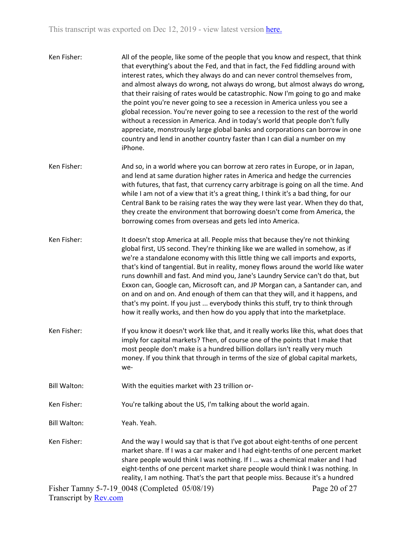- Ken Fisher: All of the people, like some of the people that you know and respect, that think that everything's about the Fed, and that in fact, the Fed fiddling around with interest rates, which they always do and can never control themselves from, and almost always do wrong, not always do wrong, but almost always do wrong, that their raising of rates would be catastrophic. Now I'm going to go and make the point you're never going to see a recession in America unless you see a global recession. You're never going to see a recession to the rest of the world without a recession in America. And in today's world that people don't fully appreciate, monstrously large global banks and corporations can borrow in one country and lend in another country faster than I can dial a number on my iPhone.
- Ken Fisher: And so, in a world where you can borrow at zero rates in Europe, or in Japan, and lend at same duration higher rates in America and hedge the currencies with futures, that fast, that currency carry arbitrage is going on all the time. And while I am not of a view that it's a great thing, I think it's a bad thing, for our Central Bank to be raising rates the way they were last year. When they do that, they create the environment that borrowing doesn't come from America, the borrowing comes from overseas and gets led into America.
- Ken Fisher: It doesn't stop America at all. People miss that because they're not thinking global first, US second. They're thinking like we are walled in somehow, as if we're a standalone economy with this little thing we call imports and exports, that's kind of tangential. But in reality, money flows around the world like water runs downhill and fast. And mind you, Jane's Laundry Service can't do that, but Exxon can, Google can, Microsoft can, and JP Morgan can, a Santander can, and on and on and on. And enough of them can that they will, and it happens, and that's my point. If you just ... everybody thinks this stuff, try to think through how it really works, and then how do you apply that into the marketplace.
- Ken Fisher: If you know it doesn't work like that, and it really works like this, what does that imply for capital markets? Then, of course one of the points that I make that most people don't make is a hundred billion dollars isn't really very much money. If you think that through in terms of the size of global capital markets, we-
- Bill Walton: With the equities market with 23 trillion or-

Ken Fisher: You're talking about the US, I'm talking about the world again.

Bill Walton: Yeah. Yeah.

Ken Fisher: And the way I would say that is that I've got about eight-tenths of one percent market share. If I was a car maker and I had eight-tenths of one percent market share people would think I was nothing. If I ... was a chemical maker and I had eight-tenths of one percent market share people would think I was nothing. In reality, I am nothing. That's the part that people miss. Because it's a hundred

Fisher Tamny 5-7-19\_0048 (Completed 05/08/19) Transcript by [Rev.com](https://www.rev.com/)

Page 20 of 27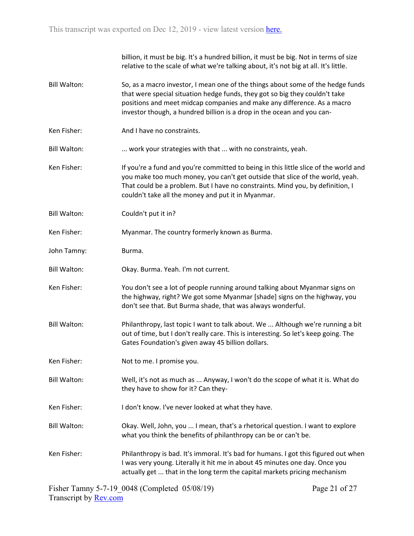billion, it must be big. It's a hundred billion, it must be big. Not in terms of size relative to the scale of what we're talking about, it's not big at all. It's little. Bill Walton: So, as a macro investor, I mean one of the things about some of the hedge funds that were special situation hedge funds, they got so big they couldn't take positions and meet midcap companies and make any difference. As a macro investor though, a hundred billion is a drop in the ocean and you can-Ken Fisher: And I have no constraints. Bill Walton: ... work your strategies with that ... with no constraints, yeah. Ken Fisher: If you're a fund and you're committed to being in this little slice of the world and you make too much money, you can't get outside that slice of the world, yeah. That could be a problem. But I have no constraints. Mind you, by definition, I couldn't take all the money and put it in Myanmar. Bill Walton: Couldn't put it in? Ken Fisher: Myanmar. The country formerly known as Burma. John Tamny: Burma. Bill Walton: Okay. Burma. Yeah. I'm not current. Ken Fisher: You don't see a lot of people running around talking about Myanmar signs on the highway, right? We got some Myanmar [shade] signs on the highway, you don't see that. But Burma shade, that was always wonderful. Bill Walton: Philanthropy, last topic I want to talk about. We ... Although we're running a bit out of time, but I don't really care. This is interesting. So let's keep going. The Gates Foundation's given away 45 billion dollars. Ken Fisher: Not to me. I promise you. Bill Walton: Well, it's not as much as ... Anyway, I won't do the scope of what it is. What do they have to show for it? Can they-Ken Fisher: I don't know. I've never looked at what they have. Bill Walton: Okay. Well, John, you ... I mean, that's a rhetorical question. I want to explore what you think the benefits of philanthropy can be or can't be. Ken Fisher: Philanthropy is bad. It's immoral. It's bad for humans. I got this figured out when I was very young. Literally it hit me in about 45 minutes one day. Once you actually get ... that in the long term the capital markets pricing mechanism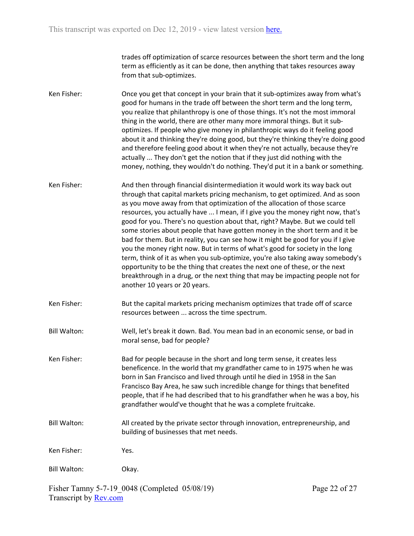trades off optimization of scarce resources between the short term and the long term as efficiently as it can be done, then anything that takes resources away from that sub-optimizes.

- Ken Fisher: Once you get that concept in your brain that it sub-optimizes away from what's good for humans in the trade off between the short term and the long term, you realize that philanthropy is one of those things. It's not the most immoral thing in the world, there are other many more immoral things. But it suboptimizes. If people who give money in philanthropic ways do it feeling good about it and thinking they're doing good, but they're thinking they're doing good and therefore feeling good about it when they're not actually, because they're actually ... They don't get the notion that if they just did nothing with the money, nothing, they wouldn't do nothing. They'd put it in a bank or something.
- Ken Fisher: And then through financial disintermediation it would work its way back out through that capital markets pricing mechanism, to get optimized. And as soon as you move away from that optimization of the allocation of those scarce resources, you actually have ... I mean, if I give you the money right now, that's good for you. There's no question about that, right? Maybe. But we could tell some stories about people that have gotten money in the short term and it be bad for them. But in reality, you can see how it might be good for you if I give you the money right now. But in terms of what's good for society in the long term, think of it as when you sub-optimize, you're also taking away somebody's opportunity to be the thing that creates the next one of these, or the next breakthrough in a drug, or the next thing that may be impacting people not for another 10 years or 20 years.
- Ken Fisher: But the capital markets pricing mechanism optimizes that trade off of scarce resources between ... across the time spectrum.
- Bill Walton: Well, let's break it down. Bad. You mean bad in an economic sense, or bad in moral sense, bad for people?
- Ken Fisher: Bad for people because in the short and long term sense, it creates less beneficence. In the world that my grandfather came to in 1975 when he was born in San Francisco and lived through until he died in 1958 in the San Francisco Bay Area, he saw such incredible change for things that benefited people, that if he had described that to his grandfather when he was a boy, his grandfather would've thought that he was a complete fruitcake.
- Bill Walton: All created by the private sector through innovation, entrepreneurship, and building of businesses that met needs.
- Ken Fisher: Yes.

Bill Walton: Okay.

Fisher Tamny 5-7-19\_0048 (Completed 05/08/19) Transcript by [Rev.com](https://www.rev.com/)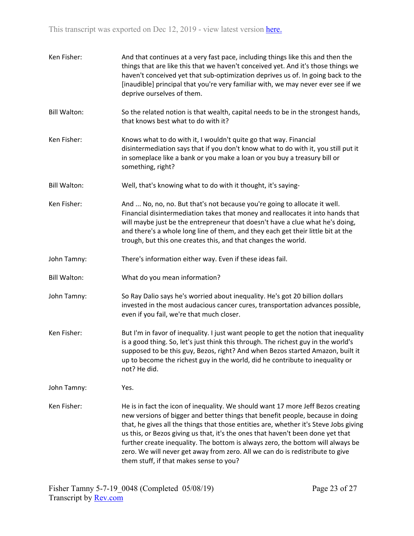| Ken Fisher:         | And that continues at a very fast pace, including things like this and then the<br>things that are like this that we haven't conceived yet. And it's those things we<br>haven't conceived yet that sub-optimization deprives us of. In going back to the<br>[inaudible] principal that you're very familiar with, we may never ever see if we<br>deprive ourselves of them.                                                                                                                                                                                   |
|---------------------|---------------------------------------------------------------------------------------------------------------------------------------------------------------------------------------------------------------------------------------------------------------------------------------------------------------------------------------------------------------------------------------------------------------------------------------------------------------------------------------------------------------------------------------------------------------|
| <b>Bill Walton:</b> | So the related notion is that wealth, capital needs to be in the strongest hands,<br>that knows best what to do with it?                                                                                                                                                                                                                                                                                                                                                                                                                                      |
| Ken Fisher:         | Knows what to do with it, I wouldn't quite go that way. Financial<br>disintermediation says that if you don't know what to do with it, you still put it<br>in someplace like a bank or you make a loan or you buy a treasury bill or<br>something, right?                                                                                                                                                                                                                                                                                                     |
| <b>Bill Walton:</b> | Well, that's knowing what to do with it thought, it's saying-                                                                                                                                                                                                                                                                                                                                                                                                                                                                                                 |
| Ken Fisher:         | And  No, no, no. But that's not because you're going to allocate it well.<br>Financial disintermediation takes that money and reallocates it into hands that<br>will maybe just be the entrepreneur that doesn't have a clue what he's doing,<br>and there's a whole long line of them, and they each get their little bit at the<br>trough, but this one creates this, and that changes the world.                                                                                                                                                           |
| John Tamny:         | There's information either way. Even if these ideas fail.                                                                                                                                                                                                                                                                                                                                                                                                                                                                                                     |
| <b>Bill Walton:</b> | What do you mean information?                                                                                                                                                                                                                                                                                                                                                                                                                                                                                                                                 |
| John Tamny:         | So Ray Dalio says he's worried about inequality. He's got 20 billion dollars<br>invested in the most audacious cancer cures, transportation advances possible,<br>even if you fail, we're that much closer.                                                                                                                                                                                                                                                                                                                                                   |
| Ken Fisher:         | But I'm in favor of inequality. I just want people to get the notion that inequality<br>is a good thing. So, let's just think this through. The richest guy in the world's<br>supposed to be this guy, Bezos, right? And when Bezos started Amazon, built it<br>up to become the richest guy in the world, did he contribute to inequality or<br>not? He did.                                                                                                                                                                                                 |
| John Tamny:         | Yes.                                                                                                                                                                                                                                                                                                                                                                                                                                                                                                                                                          |
| Ken Fisher:         | He is in fact the icon of inequality. We should want 17 more Jeff Bezos creating<br>new versions of bigger and better things that benefit people, because in doing<br>that, he gives all the things that those entities are, whether it's Steve Jobs giving<br>us this, or Bezos giving us that, it's the ones that haven't been done yet that<br>further create inequality. The bottom is always zero, the bottom will always be<br>zero. We will never get away from zero. All we can do is redistribute to give<br>them stuff, if that makes sense to you? |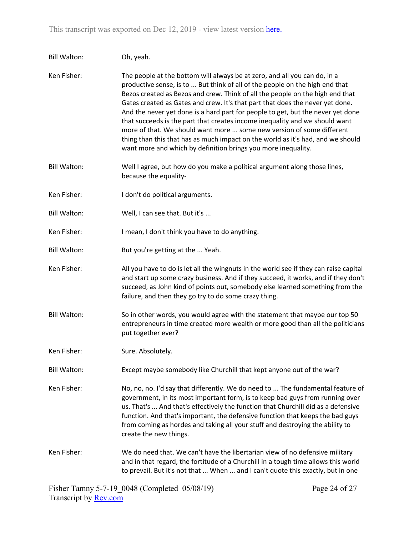| <b>Bill Walton:</b> | Oh, yeah.                                                                                                                                                                                                                                                                                                                                                                                                                                                                                                                                                                                                                                                                                                                  |
|---------------------|----------------------------------------------------------------------------------------------------------------------------------------------------------------------------------------------------------------------------------------------------------------------------------------------------------------------------------------------------------------------------------------------------------------------------------------------------------------------------------------------------------------------------------------------------------------------------------------------------------------------------------------------------------------------------------------------------------------------------|
| Ken Fisher:         | The people at the bottom will always be at zero, and all you can do, in a<br>productive sense, is to  But think of all of the people on the high end that<br>Bezos created as Bezos and crew. Think of all the people on the high end that<br>Gates created as Gates and crew. It's that part that does the never yet done.<br>And the never yet done is a hard part for people to get, but the never yet done<br>that succeeds is the part that creates income inequality and we should want<br>more of that. We should want more  some new version of some different<br>thing than this that has as much impact on the world as it's had, and we should<br>want more and which by definition brings you more inequality. |
| <b>Bill Walton:</b> | Well I agree, but how do you make a political argument along those lines,<br>because the equality-                                                                                                                                                                                                                                                                                                                                                                                                                                                                                                                                                                                                                         |
| Ken Fisher:         | I don't do political arguments.                                                                                                                                                                                                                                                                                                                                                                                                                                                                                                                                                                                                                                                                                            |
| <b>Bill Walton:</b> | Well, I can see that. But it's                                                                                                                                                                                                                                                                                                                                                                                                                                                                                                                                                                                                                                                                                             |
| Ken Fisher:         | I mean, I don't think you have to do anything.                                                                                                                                                                                                                                                                                                                                                                                                                                                                                                                                                                                                                                                                             |
| <b>Bill Walton:</b> | But you're getting at the  Yeah.                                                                                                                                                                                                                                                                                                                                                                                                                                                                                                                                                                                                                                                                                           |
| Ken Fisher:         | All you have to do is let all the wingnuts in the world see if they can raise capital<br>and start up some crazy business. And if they succeed, it works, and if they don't<br>succeed, as John kind of points out, somebody else learned something from the<br>failure, and then they go try to do some crazy thing.                                                                                                                                                                                                                                                                                                                                                                                                      |
| <b>Bill Walton:</b> | So in other words, you would agree with the statement that maybe our top 50<br>entrepreneurs in time created more wealth or more good than all the politicians<br>put together ever?                                                                                                                                                                                                                                                                                                                                                                                                                                                                                                                                       |
| Ken Fisher:         | Sure. Absolutely.                                                                                                                                                                                                                                                                                                                                                                                                                                                                                                                                                                                                                                                                                                          |
| <b>Bill Walton:</b> | Except maybe somebody like Churchill that kept anyone out of the war?                                                                                                                                                                                                                                                                                                                                                                                                                                                                                                                                                                                                                                                      |
| Ken Fisher:         | No, no, no. I'd say that differently. We do need to  The fundamental feature of<br>government, in its most important form, is to keep bad guys from running over<br>us. That's  And that's effectively the function that Churchill did as a defensive<br>function. And that's important, the defensive function that keeps the bad guys<br>from coming as hordes and taking all your stuff and destroying the ability to<br>create the new things.                                                                                                                                                                                                                                                                         |
| Ken Fisher:         | We do need that. We can't have the libertarian view of no defensive military<br>and in that regard, the fortitude of a Churchill in a tough time allows this world<br>to prevail. But it's not that  When  and I can't quote this exactly, but in one                                                                                                                                                                                                                                                                                                                                                                                                                                                                      |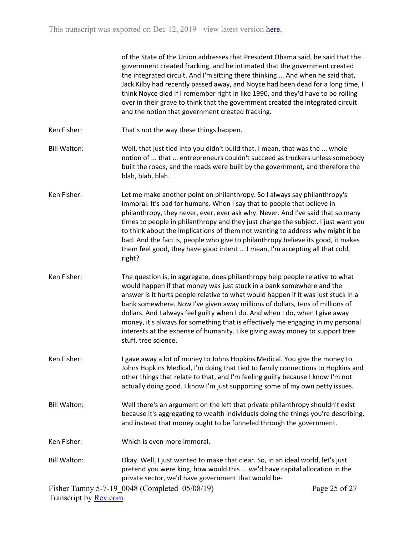|                              | of the State of the Union addresses that President Obama said, he said that the<br>government created fracking, and he intimated that the government created<br>the integrated circuit. And I'm sitting there thinking  And when he said that,<br>Jack Kilby had recently passed away, and Noyce had been dead for a long time, I<br>think Noyce died if I remember right in like 1990, and they'd have to be roiling<br>over in their grave to think that the government created the integrated circuit<br>and the notion that government created fracking.                                           |               |
|------------------------------|--------------------------------------------------------------------------------------------------------------------------------------------------------------------------------------------------------------------------------------------------------------------------------------------------------------------------------------------------------------------------------------------------------------------------------------------------------------------------------------------------------------------------------------------------------------------------------------------------------|---------------|
| Ken Fisher:                  | That's not the way these things happen.                                                                                                                                                                                                                                                                                                                                                                                                                                                                                                                                                                |               |
| <b>Bill Walton:</b>          | Well, that just tied into you didn't build that. I mean, that was the  whole<br>notion of  that  entrepreneurs couldn't succeed as truckers unless somebody<br>built the roads, and the roads were built by the government, and therefore the<br>blah, blah, blah.                                                                                                                                                                                                                                                                                                                                     |               |
| Ken Fisher:                  | Let me make another point on philanthropy. So I always say philanthropy's<br>immoral. It's bad for humans. When I say that to people that believe in<br>philanthropy, they never, ever, ever ask why. Never. And I've said that so many<br>times to people in philanthropy and they just change the subject. I just want you<br>to think about the implications of them not wanting to address why might it be<br>bad. And the fact is, people who give to philanthropy believe its good, it makes<br>them feel good, they have good intent  I mean, I'm accepting all that cold,<br>right?            |               |
| Ken Fisher:                  | The question is, in aggregate, does philanthropy help people relative to what<br>would happen if that money was just stuck in a bank somewhere and the<br>answer is it hurts people relative to what would happen if it was just stuck in a<br>bank somewhere. Now I've given away millions of dollars, tens of millions of<br>dollars. And I always feel guilty when I do. And when I do, when I give away<br>money, it's always for something that is effectively me engaging in my personal<br>interests at the expense of humanity. Like giving away money to support tree<br>stuff, tree science. |               |
| Ken Fisher:                  | I gave away a lot of money to Johns Hopkins Medical. You give the money to<br>Johns Hopkins Medical, I'm doing that tied to family connections to Hopkins and<br>other things that relate to that, and I'm feeling guilty because I know I'm not<br>actually doing good. I know I'm just supporting some of my own petty issues.                                                                                                                                                                                                                                                                       |               |
| <b>Bill Walton:</b>          | Well there's an argument on the left that private philanthropy shouldn't exist<br>because it's aggregating to wealth individuals doing the things you're describing,<br>and instead that money ought to be funneled through the government.                                                                                                                                                                                                                                                                                                                                                            |               |
| Ken Fisher:                  | Which is even more immoral.                                                                                                                                                                                                                                                                                                                                                                                                                                                                                                                                                                            |               |
| <b>Bill Walton:</b>          | Okay. Well, I just wanted to make that clear. So, in an ideal world, let's just<br>pretend you were king, how would this  we'd have capital allocation in the<br>private sector, we'd have government that would be-                                                                                                                                                                                                                                                                                                                                                                                   |               |
| Transcript by <b>Rev.com</b> | Fisher Tamny 5-7-19 0048 (Completed 05/08/19)                                                                                                                                                                                                                                                                                                                                                                                                                                                                                                                                                          | Page 25 of 27 |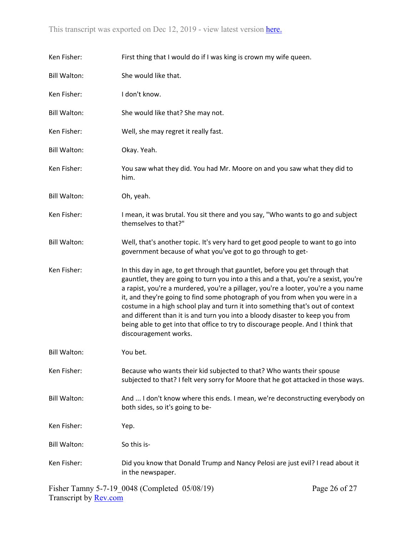| Ken Fisher:         | First thing that I would do if I was king is crown my wife queen.                                                                                                                                                                                                                                                                                                                                                                                                                                                                                                                                                           |
|---------------------|-----------------------------------------------------------------------------------------------------------------------------------------------------------------------------------------------------------------------------------------------------------------------------------------------------------------------------------------------------------------------------------------------------------------------------------------------------------------------------------------------------------------------------------------------------------------------------------------------------------------------------|
| <b>Bill Walton:</b> | She would like that.                                                                                                                                                                                                                                                                                                                                                                                                                                                                                                                                                                                                        |
| Ken Fisher:         | I don't know.                                                                                                                                                                                                                                                                                                                                                                                                                                                                                                                                                                                                               |
| <b>Bill Walton:</b> | She would like that? She may not.                                                                                                                                                                                                                                                                                                                                                                                                                                                                                                                                                                                           |
| Ken Fisher:         | Well, she may regret it really fast.                                                                                                                                                                                                                                                                                                                                                                                                                                                                                                                                                                                        |
| <b>Bill Walton:</b> | Okay. Yeah.                                                                                                                                                                                                                                                                                                                                                                                                                                                                                                                                                                                                                 |
| Ken Fisher:         | You saw what they did. You had Mr. Moore on and you saw what they did to<br>him.                                                                                                                                                                                                                                                                                                                                                                                                                                                                                                                                            |
| <b>Bill Walton:</b> | Oh, yeah.                                                                                                                                                                                                                                                                                                                                                                                                                                                                                                                                                                                                                   |
| Ken Fisher:         | I mean, it was brutal. You sit there and you say, "Who wants to go and subject<br>themselves to that?"                                                                                                                                                                                                                                                                                                                                                                                                                                                                                                                      |
| <b>Bill Walton:</b> | Well, that's another topic. It's very hard to get good people to want to go into<br>government because of what you've got to go through to get-                                                                                                                                                                                                                                                                                                                                                                                                                                                                             |
| Ken Fisher:         | In this day in age, to get through that gauntlet, before you get through that<br>gauntlet, they are going to turn you into a this and a that, you're a sexist, you're<br>a rapist, you're a murdered, you're a pillager, you're a looter, you're a you name<br>it, and they're going to find some photograph of you from when you were in a<br>costume in a high school play and turn it into something that's out of context<br>and different than it is and turn you into a bloody disaster to keep you from<br>being able to get into that office to try to discourage people. And I think that<br>discouragement works. |
| <b>Bill Walton:</b> | You bet.                                                                                                                                                                                                                                                                                                                                                                                                                                                                                                                                                                                                                    |
| Ken Fisher:         | Because who wants their kid subjected to that? Who wants their spouse<br>subjected to that? I felt very sorry for Moore that he got attacked in those ways.                                                                                                                                                                                                                                                                                                                                                                                                                                                                 |
| <b>Bill Walton:</b> | And  I don't know where this ends. I mean, we're deconstructing everybody on<br>both sides, so it's going to be-                                                                                                                                                                                                                                                                                                                                                                                                                                                                                                            |
| Ken Fisher:         | Yep.                                                                                                                                                                                                                                                                                                                                                                                                                                                                                                                                                                                                                        |
| <b>Bill Walton:</b> | So this is-                                                                                                                                                                                                                                                                                                                                                                                                                                                                                                                                                                                                                 |
| Ken Fisher:         | Did you know that Donald Trump and Nancy Pelosi are just evil? I read about it<br>in the newspaper.                                                                                                                                                                                                                                                                                                                                                                                                                                                                                                                         |

Fisher Tamny 5-7-19\_0048 (Completed 05/08/19) Transcript by <u>Rev.com</u>